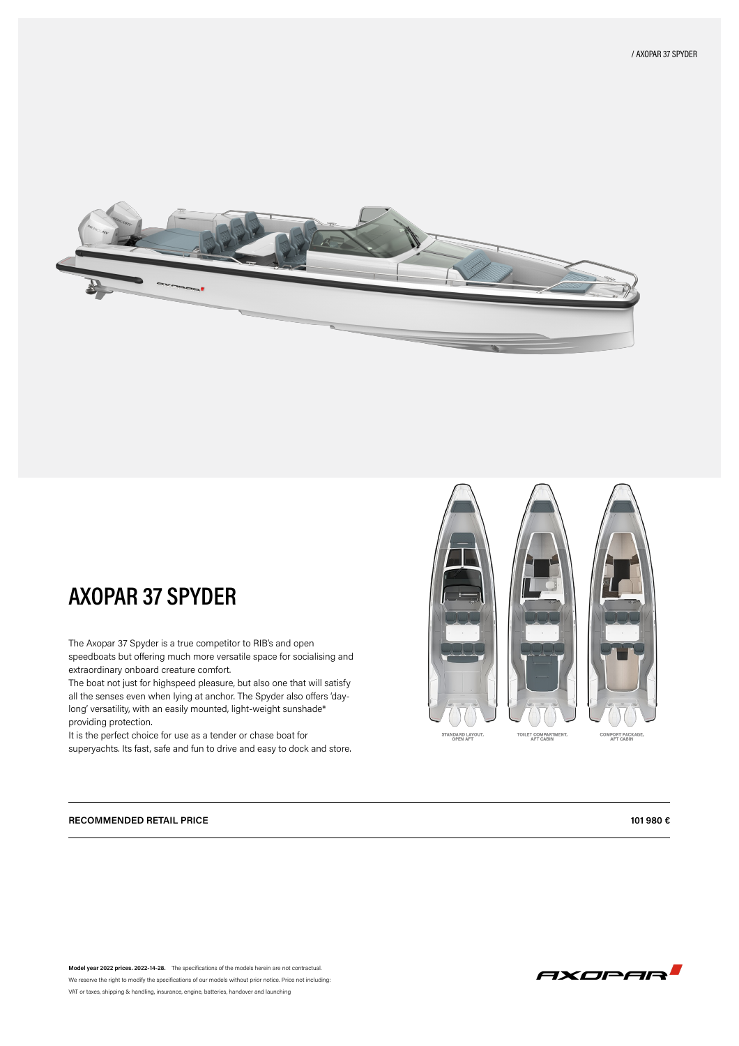

# **AXOPAR 37 SPYDER**

The Axopar 37 Spyder is a true competitor to RIB's and open speedboats but offering much more versatile space for socialising and extraordinary onboard creature comfort.

The boat not just for highspeed pleasure, but also one that will satisfy all the senses even when lying at anchor. The Spyder also offers 'daylong' versatility, with an easily mounted, light-weight sunshade\* providing protection.

It is the perfect choice for use as a tender or chase boat for superyachts. Its fast, safe and fun to drive and easy to dock and store.



### **RECOMMENDED RETAIL PRICE 101 980 €**

**Model year 2022 prices. 2022-14-28.** The specifications of the models herein are not contractual. We reserve the right to modify the specifications of our models without prior notice. Price not including: VAT or taxes, shipping & handling, insurance, engine, batteries, handover and launching

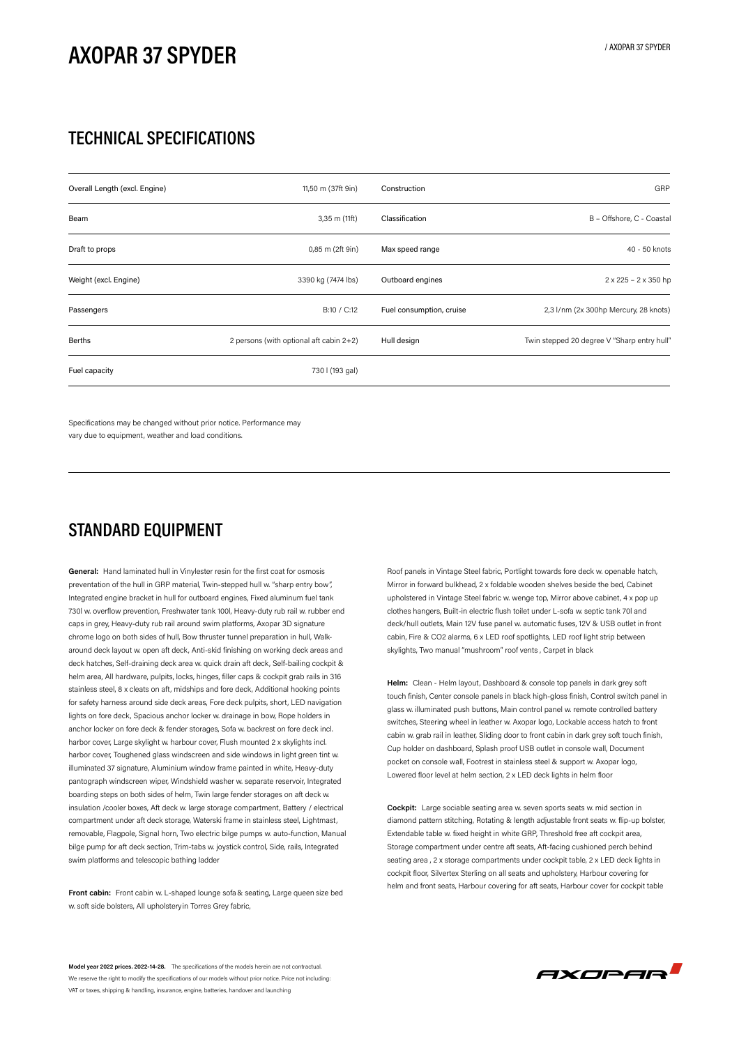# **AXOPAR 37 SPYDER**

### **TECHNICAL SPECIFICATIONS**

| Overall Length (excl. Engine) | 11,50 m (37ft 9in)                      | Construction             | GRP                                         |
|-------------------------------|-----------------------------------------|--------------------------|---------------------------------------------|
| Beam                          | $3,35$ m $(11ft)$                       | Classification           | B - Offshore, C - Coastal                   |
| Draft to props                | 0,85 m (2ft 9in)                        | Max speed range          | 40 - 50 knots                               |
| Weight (excl. Engine)         | 3390 kg (7474 lbs)                      | Outboard engines         | $2 \times 225 - 2 \times 350$ hp            |
| Passengers                    | B:10 / C:12                             | Fuel consumption, cruise | 2,3 l/nm (2x 300hp Mercury, 28 knots)       |
| Berths                        | 2 persons (with optional aft cabin 2+2) | Hull design              | Twin stepped 20 degree V "Sharp entry hull" |
| Fuel capacity                 | 730 l (193 gal)                         |                          |                                             |

Specifications may be changed without prior notice. Performance may vary due to equipment, weather and load conditions.

### **STANDARD EQUIPMENT**

**General:** Hand laminated hull in Vinylester resin for the first coat for osmosis preventation of the hull in GRP material, Twin-stepped hull w. "sharp entry bow", Integrated engine bracket in hull for outboard engines, Fixed aluminum fuel tank 730l w. overflow prevention, Freshwater tank 100l, Heavy-duty rub rail w. rubber end caps in grey, Heavy-duty rub rail around swim platforms, Axopar 3D signature chrome logo on both sides of hull, Bow thruster tunnel preparation in hull, Walkaround deck layout w. open aft deck, Anti-skid finishing on working deck areas and deck hatches, Self-draining deck area w. quick drain aft deck, Self-bailing cockpit & helm area, All hardware, pulpits, locks, hinges, filler caps & cockpit grab rails in 316 stainless steel, 8 x cleats on aft, midships and fore deck, Additional hooking points for safety harness around side deck areas, Fore deck pulpits, short, LED navigation lights on fore deck, Spacious anchor locker w. drainage in bow, Rope holders in anchor locker on fore deck & fender storages, Sofa w. backrest on fore deck incl. harbor cover, Large skylight w. harbour cover, Flush mounted 2 x skylights incl. harbor cover, Toughened glass windscreen and side windows in light green tint w. illuminated 37 signature, Aluminium window frame painted in white, Heavy-duty pantograph windscreen wiper, Windshield washer w. separate reservoir, Integrated boarding steps on both sides of helm, Twin large fender storages on aft deck w. insulation /cooler boxes, Aft deck w. large storage compartment, Battery / electrical compartment under aft deck storage, Waterski frame in stainless steel, Lightmast, removable, Flagpole, Signal horn, Two electric bilge pumps w. auto-function, Manual bilge pump for aft deck section, Trim-tabs w. joystick control, Side, rails, Integrated swim platforms and telescopic bathing ladder

**Front cabin:** Front cabin w. L-shaped lounge sofa & seating, Large queen size bed w. soft side bolsters, All upholsteryin Torres Grey fabric,

Roof panels in Vintage Steel fabric, Portlight towards fore deck w. openable hatch, Mirror in forward bulkhead, 2 x foldable wooden shelves beside the bed, Cabinet upholstered in Vintage Steel fabric w. wenge top, Mirror above cabinet, 4 x pop up clothes hangers, Built-in electric flush toilet under L-sofa w. septic tank 70l and deck/hull outlets, Main 12V fuse panel w. automatic fuses, 12V & USB outlet in front cabin, Fire & CO2 alarms, 6 x LED roof spotlights, LED roof light strip between skylights, Two manual "mushroom" roof vents , Carpet in black

**Helm:** Clean - Helm layout, Dashboard & console top panels in dark grey soft touch finish, Center console panels in black high-gloss finish, Control switch panel in glass w. illuminated push buttons, Main control panel w. remote controlled battery switches, Steering wheel in leather w. Axopar logo, Lockable access hatch to front cabin w. grab rail in leather, Sliding door to front cabin in dark grey soft touch finish, Cup holder on dashboard, Splash proof USB outlet in console wall, Document pocket on console wall, Footrest in stainless steel & support w. Axopar logo, Lowered floor level at helm section, 2 x LED deck lights in helm floor

**Cockpit:** Large sociable seating area w. seven sports seats w. mid section in diamond pattern stitching, Rotating & length adjustable front seats w. flip-up bolster, Extendable table w. fixed height in white GRP, Threshold free aft cockpit area, Storage compartment under centre aft seats, Aft-facing cushioned perch behind seating area , 2 x storage compartments under cockpit table, 2 x LED deck lights in cockpit floor, Silvertex Sterling on all seats and upholstery, Harbour covering for helm and front seats, Harbour covering for aft seats, Harbour cover for cockpit table

**Model year 2022 prices. 2022-14-28.** The specifications of the models herein are not contractual. We reserve the right to modify the specifications of our models without prior notice. Price not including VAT or taxes, shipping & handling, insurance, engine, batteries, handover and launching

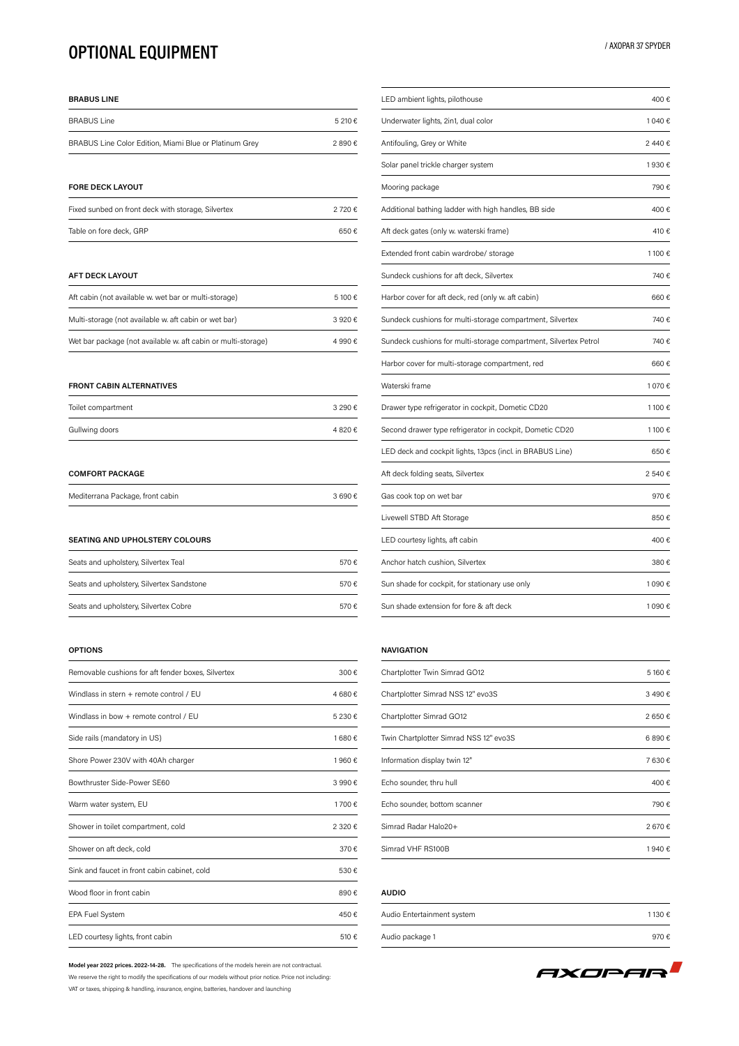### **OPTIONAL EQUIPMENT**

#### **BRABUS LINE**

| <b>BRABUS Line</b>                                     | 5 210 € |
|--------------------------------------------------------|---------|
| BRABUS Line Color Edition, Miami Blue or Platinum Grey | 2890€   |

#### **FORE DECK LAYOUT**

| Fixed sunbed on front deck with storage, Silvertex | 2 720 € |
|----------------------------------------------------|---------|
| Table on fore deck, GRP                            | 650€    |

#### **AFT DECK LAYOUT**

| Aft cabin (not available w, wet bar or multi-storage)         | 5.100 € |
|---------------------------------------------------------------|---------|
| Multi-storage (not available w. aft cabin or wet bar)         | 3.920€  |
| Wet bar package (not available w, aft cabin or multi-storage) | 4 990 € |

#### **FRONT CABIN ALTERNATIVES**

| Toilet compartment | 3 290 € |
|--------------------|---------|
| Gullwing doors     | 4820€   |

#### **COMFORT PACKAGE**

| Mediterrana Package, front cabin |  | 3690€ |
|----------------------------------|--|-------|
|----------------------------------|--|-------|

#### **SEATING AND UPHOLSTERY COLOURS**

| Seats and upholstery, Silvertex Teal      | 570€ |
|-------------------------------------------|------|
| Seats and upholstery, Silvertex Sandstone | 570€ |
| Seats and upholstery, Silvertex Cobre     | 570€ |

#### **OPTIONS**

| Removable cushions for aft fender boxes, Silvertex | 300€    |
|----------------------------------------------------|---------|
| Windlass in stern + remote control / FU            | 4 680 € |
| Windlass in bow + remote control / FU              | 5 230 € |
| Side rails (mandatory in US)                       | 1680€   |
| Shore Power 230V with 40Ah charger                 | 1960€   |
| Bowthruster Side-Power SE60                        | 3 990 € |
| Warm water system, EU                              | 1700€   |
| Shower in toilet compartment, cold                 | 2 320 € |
| Shower on aft deck, cold                           | 370€    |
| Sink and faucet in front cabin cabinet, cold       | 530€    |
| Wood floor in front cabin                          | 890€    |
| <b>EPA Fuel System</b>                             | 450€    |
| LED courtesy lights, front cabin                   | 510 €   |

**Model year 2022 prices. 2022-14-28.** The specifications of the models herein are not contractual. We reserve the right to modify the specifications of our models without prior notice. Price not including: VAT or taxes, shipping & handling, insurance, engine, batteries, handover and launching

| LED ambient lights, pilothouse                                   | 400€    |
|------------------------------------------------------------------|---------|
| Underwater lights, 2in1, dual color                              | 1 040 € |
| Antifouling, Grey or White                                       | 2440€   |
| Solar panel trickle charger system                               | 1930€   |
| Mooring package                                                  | 790€    |
| Additional bathing ladder with high handles, BB side             | 400€    |
| Aft deck gates (only w. waterski frame)                          | 410€    |
| Extended front cabin wardrobe/ storage                           | 1100€   |
| Sundeck cushions for aft deck, Silvertex                         | 740€    |
| Harbor cover for aft deck, red (only w. aft cabin)               | 660€    |
| Sundeck cushions for multi-storage compartment, Silvertex        | 740€    |
| Sundeck cushions for multi-storage compartment, Silvertex Petrol | 740€    |
| Harbor cover for multi-storage compartment, red                  | 660€    |
| Waterski frame                                                   | 1 070 € |
| Drawer type refrigerator in cockpit, Dometic CD20                | 1100€   |
| Second drawer type refrigerator in cockpit, Dometic CD20         | 1100€   |
| LED deck and cockpit lights, 13pcs (incl. in BRABUS Line)        | 650€    |
| Aft deck folding seats, Silvertex                                | 2540€   |
| Gas cook top on wet bar                                          | 970€    |
| Livewell STBD Aft Storage                                        | 850€    |
| LED courtesy lights, aft cabin                                   | 400€    |
| Anchor hatch cushion, Silvertex                                  | 380€    |
| Sun shade for cockpit, for stationary use only                   | 1 090 € |
| Sun shade extension for fore & aft deck                          | 1 090 € |

#### **NAVIGATION**

| Chartplotter Twin Simrad GO12          | 5 160 € |
|----------------------------------------|---------|
| Chartplotter Simrad NSS 12" evo3S      | 3490€   |
| Chartplotter Simrad GO12               | 2650€   |
| Twin Chartplotter Simrad NSS 12" evo3S | 6890€   |
| Information display twin 12"           | 7630€   |
| Echo sounder, thru hull                | 400€    |
| Echo sounder, bottom scanner           | 790€    |
| Simrad Radar Halo20+                   | 2670€   |
| Simrad VHF RS100B                      | 1940€   |

### **AUDIO**

| Audio Entertainment system | 1130€ |
|----------------------------|-------|
| Audio package 1            | 970€  |